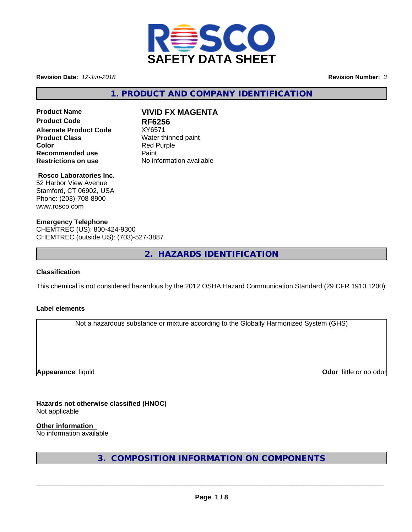

**Revision Date:** *12-Jun-2018* **Revision Number:** *3*

**1. PRODUCT AND COMPANY IDENTIFICATION**

# **Product Name VIVID FX MAGENTA Product Code RF6256 Alternate Product Code** XY6571 **Product Class** Water thinned paint **Color**<br> **Recommended use**<br> **Recommended use**<br> **Recommended use Recommended use<br>Restrictions on use**

**Restrictions on use** No information available

# **Rosco Laboratories Inc.**

52 Harbor View Avenue Stamford, CT 06902, USA Phone: (203)-708-8900 www.rosco.com

### **Emergency Telephone**

CHEMTREC (US): 800-424-9300 CHEMTREC (outside US): (703)-527-3887

**2. HAZARDS IDENTIFICATION**

### **Classification**

This chemical is not considered hazardous by the 2012 OSHA Hazard Communication Standard (29 CFR 1910.1200)

### **Label elements**

Not a hazardous substance or mixture according to the Globally Harmonized System (GHS)

**Appearance** liquid

**Odor** little or no odor

**Hazards not otherwise classified (HNOC)** Not applicable

**Other information**

No information available

**3. COMPOSITION INFORMATION ON COMPONENTS**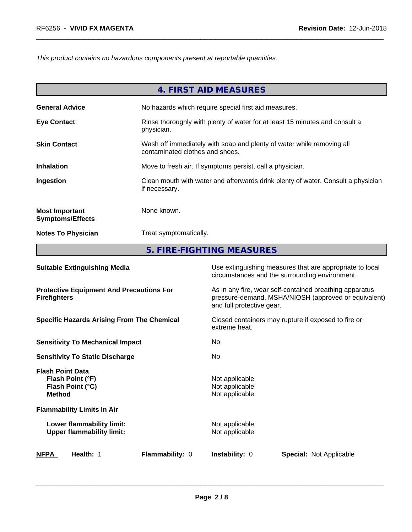*This product contains no hazardous components present at reportable quantities.*

|                                                  | 4. FIRST AID MEASURES                                                                                    |
|--------------------------------------------------|----------------------------------------------------------------------------------------------------------|
| <b>General Advice</b>                            | No hazards which require special first aid measures.                                                     |
| <b>Eye Contact</b>                               | Rinse thoroughly with plenty of water for at least 15 minutes and consult a<br>physician.                |
| <b>Skin Contact</b>                              | Wash off immediately with soap and plenty of water while removing all<br>contaminated clothes and shoes. |
| <b>Inhalation</b>                                | Move to fresh air. If symptoms persist, call a physician.                                                |
| Ingestion                                        | Clean mouth with water and afterwards drink plenty of water. Consult a physician<br>if necessary.        |
| <b>Most Important</b><br><b>Symptoms/Effects</b> | None known.                                                                                              |
| <b>Notes To Physician</b>                        | Treat symptomatically.                                                                                   |
|                                                  | 5. FIRE-FIGHTING MEASURES                                                                                |

| <b>Suitable Extinguishing Media</b>                                              | Use extinguishing measures that are appropriate to local<br>circumstances and the surrounding environment.                                   |  |  |
|----------------------------------------------------------------------------------|----------------------------------------------------------------------------------------------------------------------------------------------|--|--|
| <b>Protective Equipment And Precautions For</b><br><b>Firefighters</b>           | As in any fire, wear self-contained breathing apparatus<br>pressure-demand, MSHA/NIOSH (approved or equivalent)<br>and full protective gear. |  |  |
| <b>Specific Hazards Arising From The Chemical</b>                                | Closed containers may rupture if exposed to fire or<br>extreme heat.                                                                         |  |  |
| <b>Sensitivity To Mechanical Impact</b>                                          | No.                                                                                                                                          |  |  |
| <b>Sensitivity To Static Discharge</b>                                           | No.                                                                                                                                          |  |  |
| <b>Flash Point Data</b><br>Flash Point (°F)<br>Flash Point (°C)<br><b>Method</b> | Not applicable<br>Not applicable<br>Not applicable                                                                                           |  |  |
| <b>Flammability Limits In Air</b>                                                |                                                                                                                                              |  |  |
| Lower flammability limit:<br><b>Upper flammability limit:</b>                    | Not applicable<br>Not applicable                                                                                                             |  |  |
| <b>NFPA</b><br>Health: 1<br>Flammability: 0                                      | <b>Instability: 0</b><br><b>Special: Not Applicable</b>                                                                                      |  |  |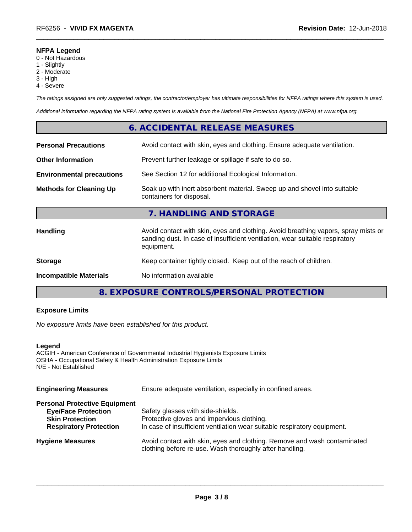#### **NFPA Legend**

- 0 Not Hazardous
- 1 Slightly
- 2 Moderate
- 3 High
- 4 Severe

*The ratings assigned are only suggested ratings, the contractor/employer has ultimate responsibilities for NFPA ratings where this system is used.*

*Additional information regarding the NFPA rating system is available from the National Fire Protection Agency (NFPA) at www.nfpa.org.*

## **6. ACCIDENTAL RELEASE MEASURES**

| <b>Personal Precautions</b>      | Avoid contact with skin, eyes and clothing. Ensure adequate ventilation.                                                                                                         |
|----------------------------------|----------------------------------------------------------------------------------------------------------------------------------------------------------------------------------|
| <b>Other Information</b>         | Prevent further leakage or spillage if safe to do so.                                                                                                                            |
| <b>Environmental precautions</b> | See Section 12 for additional Ecological Information.                                                                                                                            |
| <b>Methods for Cleaning Up</b>   | Soak up with inert absorbent material. Sweep up and shovel into suitable<br>containers for disposal.                                                                             |
|                                  | 7. HANDLING AND STORAGE                                                                                                                                                          |
| <b>Handling</b>                  | Avoid contact with skin, eyes and clothing. Avoid breathing vapors, spray mists or<br>sanding dust. In case of insufficient ventilation, wear suitable respiratory<br>equipment. |
| <b>Storage</b>                   | Keep container tightly closed. Keep out of the reach of children.                                                                                                                |
| <b>Incompatible Materials</b>    | No information available                                                                                                                                                         |
|                                  |                                                                                                                                                                                  |

**8. EXPOSURE CONTROLS/PERSONAL PROTECTION**

### **Exposure Limits**

*No exposure limits have been established for this product.*

#### **Legend**

ACGIH - American Conference of Governmental Industrial Hygienists Exposure Limits OSHA - Occupational Safety & Health Administration Exposure Limits N/E - Not Established

| Ensure adequate ventilation, especially in confined areas.                                                                          |  |  |
|-------------------------------------------------------------------------------------------------------------------------------------|--|--|
|                                                                                                                                     |  |  |
| Safety glasses with side-shields.                                                                                                   |  |  |
| Protective gloves and impervious clothing.                                                                                          |  |  |
| In case of insufficient ventilation wear suitable respiratory equipment.                                                            |  |  |
| Avoid contact with skin, eyes and clothing. Remove and wash contaminated<br>clothing before re-use. Wash thoroughly after handling. |  |  |
|                                                                                                                                     |  |  |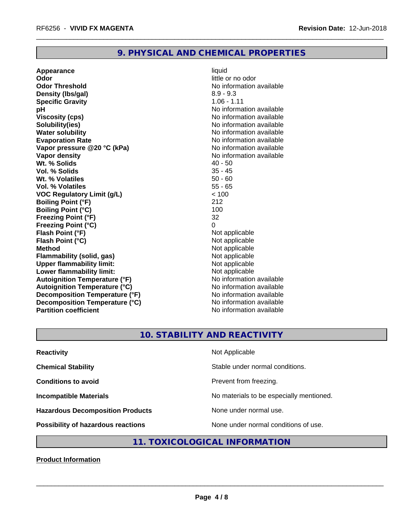## **9. PHYSICAL AND CHEMICAL PROPERTIES**

**Appearance** liquid **Odor** little or no odor **Odor Threshold** No information available **Density (lbs/gal)** 8.9 - 9.3 **Specific Gravity** 1.06 - 1.11 **pH** No information available **Viscosity (cps)** No information available Notice 1, 1999 **Solubility(ies)** No information available **Water solubility Water solubility Water solubility Water solubility Water solubility Water solution Evaporation Rate No information available No information available Vapor pressure @20 °C (kPa)** No information available **Vapor density Vapor density No information available Wt. % Solids 40 - 50<br>
<b>Vol. % Solids** 45 - 45 **Vol. % Solids** 35 - 45 **Wt. % Volatiles Vol. % Volatiles** 55 - 65 **VOC Regulatory Limit (g/L)** < 100 **Boiling Point (°F)** 212 **Boiling Point (°C)** 100 **Freezing Point (°F)** 32 **Freezing Point (°C)**<br> **Flash Point (°F)**<br> **Flash Point (°F)**<br> **Point (°F) Flash Point (°F)**<br> **Flash Point (°C)**<br> **Flash Point (°C)**<br> **C Flash Point (°C) Method** Not applicable<br> **Flammability (solid, gas)** Not applicable Not applicable **Flammability (solid, gas)**<br> **Upper flammability limit:**<br>
Upper flammability limit: **Upper flammability limit: Lower flammability limit:**<br> **Autoignition Temperature (°F)** Not applicable Not applicable **Autoignition Temperature (°F)**<br> **Autoignition Temperature (°C)** No information available **Autoignition Temperature (°C) Decomposition Temperature (°F)**<br> **Decomposition Temperature (°C)** No information available **Decomposition Temperature (°C)**<br>Partition coefficient

**No information available** 

## **10. STABILITY AND REACTIVITY**

| <b>Reactivity</b>                         | Not Applicable                           |
|-------------------------------------------|------------------------------------------|
| <b>Chemical Stability</b>                 | Stable under normal conditions.          |
| <b>Conditions to avoid</b>                | Prevent from freezing.                   |
| <b>Incompatible Materials</b>             | No materials to be especially mentioned. |
| <b>Hazardous Decomposition Products</b>   | None under normal use.                   |
| <b>Possibility of hazardous reactions</b> | None under normal conditions of use.     |

# **11. TOXICOLOGICAL INFORMATION**

**Product Information**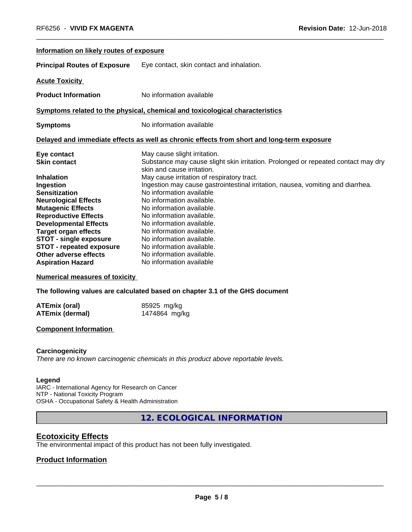| Information on likely routes of exposure                                                                                                                                                                        |                                                                                                                                                                                                                                                                                                            |
|-----------------------------------------------------------------------------------------------------------------------------------------------------------------------------------------------------------------|------------------------------------------------------------------------------------------------------------------------------------------------------------------------------------------------------------------------------------------------------------------------------------------------------------|
| <b>Principal Routes of Exposure</b>                                                                                                                                                                             | Eye contact, skin contact and inhalation.                                                                                                                                                                                                                                                                  |
| <b>Acute Toxicity</b>                                                                                                                                                                                           |                                                                                                                                                                                                                                                                                                            |
| <b>Product Information</b>                                                                                                                                                                                      | No information available                                                                                                                                                                                                                                                                                   |
|                                                                                                                                                                                                                 | Symptoms related to the physical, chemical and toxicological characteristics                                                                                                                                                                                                                               |
| <b>Symptoms</b>                                                                                                                                                                                                 | No information available                                                                                                                                                                                                                                                                                   |
|                                                                                                                                                                                                                 | Delayed and immediate effects as well as chronic effects from short and long-term exposure                                                                                                                                                                                                                 |
| Eye contact<br><b>Skin contact</b>                                                                                                                                                                              | May cause slight irritation.<br>Substance may cause slight skin irritation. Prolonged or repeated contact may dry<br>skin and cause irritation.                                                                                                                                                            |
| <b>Inhalation</b><br>Ingestion<br><b>Sensitization</b><br><b>Neurological Effects</b><br><b>Mutagenic Effects</b><br><b>Reproductive Effects</b><br><b>Developmental Effects</b><br><b>Target organ effects</b> | May cause irritation of respiratory tract.<br>Ingestion may cause gastrointestinal irritation, nausea, vomiting and diarrhea.<br>No information available<br>No information available.<br>No information available.<br>No information available.<br>No information available.<br>No information available. |
| <b>STOT - single exposure</b><br><b>STOT - repeated exposure</b><br>Other adverse effects<br><b>Aspiration Hazard</b>                                                                                           | No information available.<br>No information available.<br>No information available.<br>No information available                                                                                                                                                                                            |

**Numerical measures of toxicity**

**The following values are calculated based on chapter 3.1 of the GHS document**

| ATEmix (oral)          | 85925 mg/kg   |
|------------------------|---------------|
| <b>ATEmix (dermal)</b> | 1474864 mg/kg |

#### **Component Information**

#### **Carcinogenicity**

*There are no known carcinogenic chemicals in this product above reportable levels.*

#### **Legend**

IARC - International Agency for Research on Cancer NTP - National Toxicity Program OSHA - Occupational Safety & Health Administration

**12. ECOLOGICAL INFORMATION**

### **Ecotoxicity Effects**

The environmental impact of this product has not been fully investigated.

## **Product Information**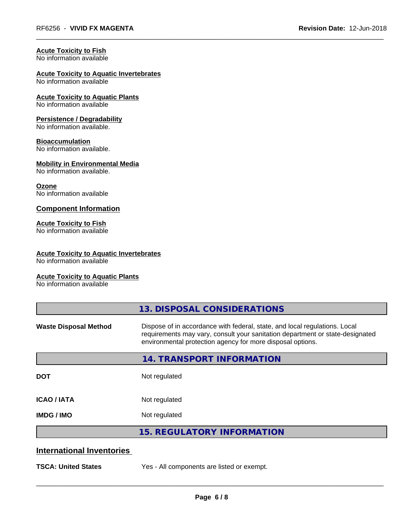# **Acute Toxicity to Fish**

No information available

#### **Acute Toxicity to Aquatic Invertebrates** No information available

# **Acute Toxicity to Aquatic Plants**

No information available

#### **Persistence / Degradability**

No information available.

#### **Bioaccumulation**

No information available.

#### **Mobility in Environmental Media**

No information available.

#### **Ozone**

No information available

### **Component Information**

## **Acute Toxicity to Fish**

No information available

### **Acute Toxicity to Aquatic Invertebrates**

No information available

#### **Acute Toxicity to Aquatic Plants**

No information available

|                                  | 13. DISPOSAL CONSIDERATIONS                                                                                                                                                                                               |  |
|----------------------------------|---------------------------------------------------------------------------------------------------------------------------------------------------------------------------------------------------------------------------|--|
| <b>Waste Disposal Method</b>     | Dispose of in accordance with federal, state, and local regulations. Local<br>requirements may vary, consult your sanitation department or state-designated<br>environmental protection agency for more disposal options. |  |
|                                  | 14. TRANSPORT INFORMATION                                                                                                                                                                                                 |  |
| <b>DOT</b>                       | Not regulated                                                                                                                                                                                                             |  |
| <b>ICAO/IATA</b>                 | Not regulated                                                                                                                                                                                                             |  |
| <b>IMDG/IMO</b>                  | Not regulated                                                                                                                                                                                                             |  |
|                                  | <b>15. REGULATORY INFORMATION</b>                                                                                                                                                                                         |  |
| <b>International Inventories</b> |                                                                                                                                                                                                                           |  |
| <b>TSCA: United States</b>       | Yes - All components are listed or exempt.                                                                                                                                                                                |  |
|                                  |                                                                                                                                                                                                                           |  |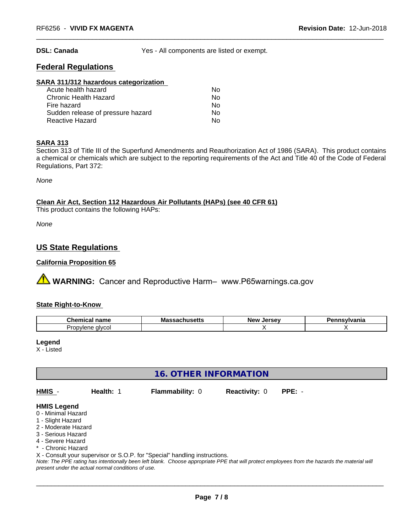**DSL: Canada** Yes - All components are listed or exempt.

## **Federal Regulations**

#### **SARA 311/312 hazardous categorization**

| Acute health hazard               | N٥ |
|-----------------------------------|----|
| Chronic Health Hazard             | Nο |
| Fire hazard                       | Nο |
| Sudden release of pressure hazard | Nο |
| Reactive Hazard                   | N٥ |

#### **SARA 313**

Section 313 of Title III of the Superfund Amendments and Reauthorization Act of 1986 (SARA). This product contains a chemical or chemicals which are subject to the reporting requirements of the Act and Title 40 of the Code of Federal Regulations, Part 372:

*None*

**Clean Air Act,Section 112 Hazardous Air Pollutants (HAPs) (see 40 CFR 61)**

This product contains the following HAPs:

*None*

## **US State Regulations**

#### **California Proposition 65**

**AVIMARNING:** Cancer and Reproductive Harm– www.P65warnings.ca.gov

#### **State Right-to-Know**

| Chemical<br>-----<br>name | Mas:<br>⊶Jaulluj <del>c</del> uj | Jersev<br><b>Nev</b> | <b>sylvania</b> |
|---------------------------|----------------------------------|----------------------|-----------------|
| alvcol<br>⊵ro∟<br>oviene  |                                  |                      |                 |

**Legend**

X - Listed

# **16. OTHER INFORMATION**

**HMIS** - **Health:** 1 **Flammability:** 0 **Reactivity:** 0 **PPE:** -

#### **HMIS Legend**

- 0 Minimal Hazard
- 1 Slight Hazard
- 2 Moderate Hazard
- 3 Serious Hazard
- 4 Severe Hazard
- \* Chronic Hazard
- X Consult your supervisor or S.O.P. for "Special" handling instructions.

*Note: The PPE rating has intentionally been left blank. Choose appropriate PPE that will protect employees from the hazards the material will present under the actual normal conditions of use.*